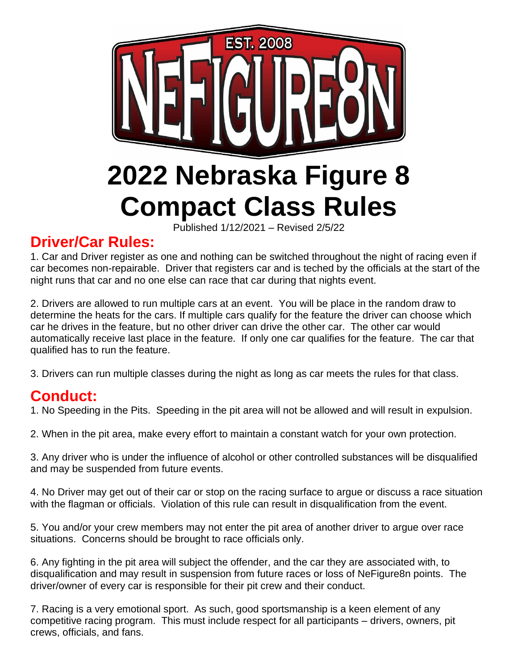

# **Driver/Car Rules:**

1. Car and Driver register as one and nothing can be switched throughout the night of racing even if car becomes non-repairable. Driver that registers car and is teched by the officials at the start of the night runs that car and no one else can race that car during that nights event.

2. Drivers are allowed to run multiple cars at an event. You will be place in the random draw to determine the heats for the cars. If multiple cars qualify for the feature the driver can choose which car he drives in the feature, but no other driver can drive the other car. The other car would automatically receive last place in the feature. If only one car qualifies for the feature. The car that qualified has to run the feature.

3. Drivers can run multiple classes during the night as long as car meets the rules for that class.

# **Conduct:**

1. No Speeding in the Pits. Speeding in the pit area will not be allowed and will result in expulsion.

2. When in the pit area, make every effort to maintain a constant watch for your own protection.

3. Any driver who is under the influence of alcohol or other controlled substances will be disqualified and may be suspended from future events.

4. No Driver may get out of their car or stop on the racing surface to argue or discuss a race situation with the flagman or officials. Violation of this rule can result in disqualification from the event.

5. You and/or your crew members may not enter the pit area of another driver to argue over race situations. Concerns should be brought to race officials only.

6. Any fighting in the pit area will subject the offender, and the car they are associated with, to disqualification and may result in suspension from future races or loss of NeFigure8n points. The driver/owner of every car is responsible for their pit crew and their conduct.

7. Racing is a very emotional sport. As such, good sportsmanship is a keen element of any competitive racing program. This must include respect for all participants – drivers, owners, pit crews, officials, and fans.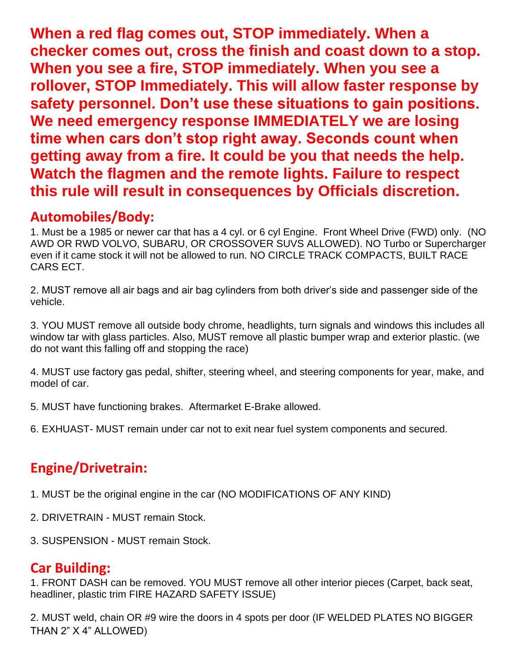**When a red flag comes out, STOP immediately. When a checker comes out, cross the finish and coast down to a stop. When you see a fire, STOP immediately. When you see a rollover, STOP Immediately. This will allow faster response by safety personnel. Don't use these situations to gain positions. We need emergency response IMMEDIATELY we are losing time when cars don't stop right away. Seconds count when getting away from a fire. It could be you that needs the help. Watch the flagmen and the remote lights. Failure to respect this rule will result in consequences by Officials discretion.**

### **Automobiles/Body:**

1. Must be a 1985 or newer car that has a 4 cyl. or 6 cyl Engine. Front Wheel Drive (FWD) only. (NO AWD OR RWD VOLVO, SUBARU, OR CROSSOVER SUVS ALLOWED). NO Turbo or Supercharger even if it came stock it will not be allowed to run. NO CIRCLE TRACK COMPACTS, BUILT RACE CARS ECT.

2. MUST remove all air bags and air bag cylinders from both driver's side and passenger side of the vehicle.

3. YOU MUST remove all outside body chrome, headlights, turn signals and windows this includes all window tar with glass particles. Also, MUST remove all plastic bumper wrap and exterior plastic. (we do not want this falling off and stopping the race)

4. MUST use factory gas pedal, shifter, steering wheel, and steering components for year, make, and model of car.

5. MUST have functioning brakes. Aftermarket E-Brake allowed.

6. EXHUAST- MUST remain under car not to exit near fuel system components and secured.

# **Engine/Drivetrain:**

1. MUST be the original engine in the car (NO MODIFICATIONS OF ANY KIND)

- 2. DRIVETRAIN MUST remain Stock.
- 3. SUSPENSION MUST remain Stock.

## **Car Building:**

1. FRONT DASH can be removed. YOU MUST remove all other interior pieces (Carpet, back seat, headliner, plastic trim FIRE HAZARD SAFETY ISSUE)

2. MUST weld, chain OR #9 wire the doors in 4 spots per door (IF WELDED PLATES NO BIGGER THAN 2" X 4" ALLOWED)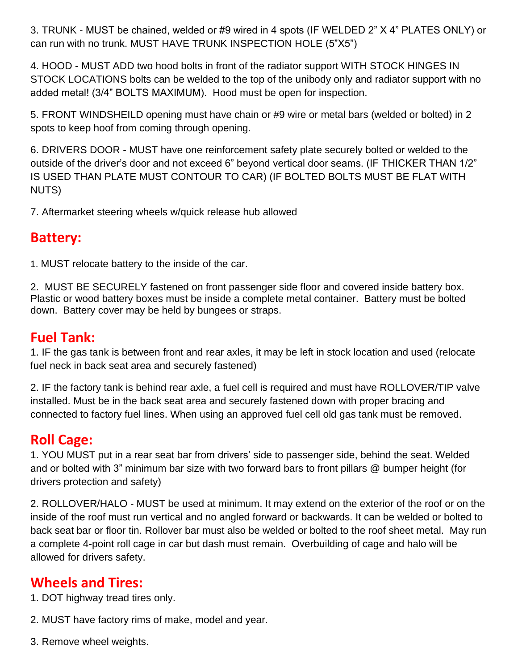3. TRUNK - MUST be chained, welded or #9 wired in 4 spots (IF WELDED 2" X 4" PLATES ONLY) or can run with no trunk. MUST HAVE TRUNK INSPECTION HOLE (5"X5")

4. HOOD - MUST ADD two hood bolts in front of the radiator support WITH STOCK HINGES IN STOCK LOCATIONS bolts can be welded to the top of the unibody only and radiator support with no added metal! (3/4" BOLTS MAXIMUM). Hood must be open for inspection.

5. FRONT WINDSHEILD opening must have chain or #9 wire or metal bars (welded or bolted) in 2 spots to keep hoof from coming through opening.

6. DRIVERS DOOR - MUST have one reinforcement safety plate securely bolted or welded to the outside of the driver's door and not exceed 6" beyond vertical door seams. (IF THICKER THAN 1/2" IS USED THAN PLATE MUST CONTOUR TO CAR) (IF BOLTED BOLTS MUST BE FLAT WITH NUTS)

7. Aftermarket steering wheels w/quick release hub allowed

#### **Battery:**

1. MUST relocate battery to the inside of the car.

2. MUST BE SECURELY fastened on front passenger side floor and covered inside battery box. Plastic or wood battery boxes must be inside a complete metal container. Battery must be bolted down. Battery cover may be held by bungees or straps.

#### **Fuel Tank:**

1. IF the gas tank is between front and rear axles, it may be left in stock location and used (relocate fuel neck in back seat area and securely fastened)

2. IF the factory tank is behind rear axle, a fuel cell is required and must have ROLLOVER/TIP valve installed. Must be in the back seat area and securely fastened down with proper bracing and connected to factory fuel lines. When using an approved fuel cell old gas tank must be removed.

## **Roll Cage:**

1. YOU MUST put in a rear seat bar from drivers' side to passenger side, behind the seat. Welded and or bolted with 3" minimum bar size with two forward bars to front pillars @ bumper height (for drivers protection and safety)

2. ROLLOVER/HALO - MUST be used at minimum. It may extend on the exterior of the roof or on the inside of the roof must run vertical and no angled forward or backwards. It can be welded or bolted to back seat bar or floor tin. Rollover bar must also be welded or bolted to the roof sheet metal. May run a complete 4-point roll cage in car but dash must remain. Overbuilding of cage and halo will be allowed for drivers safety.

#### **Wheels and Tires:**

1. DOT highway tread tires only.

- 2. MUST have factory rims of make, model and year.
- 3. Remove wheel weights.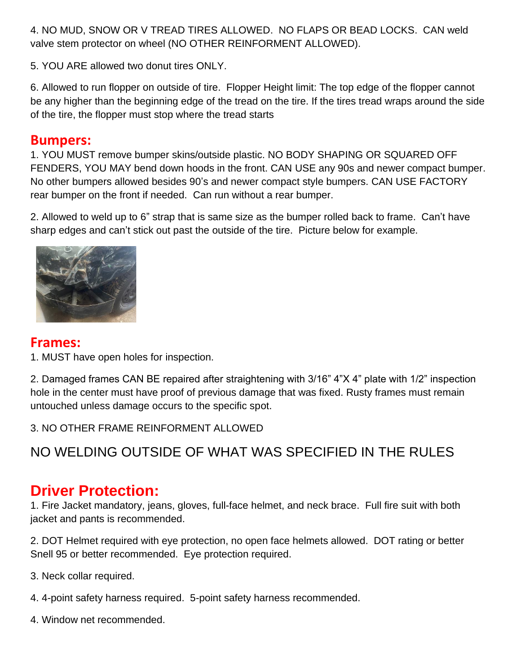4. NO MUD, SNOW OR V TREAD TIRES ALLOWED. NO FLAPS OR BEAD LOCKS. CAN weld valve stem protector on wheel (NO OTHER REINFORMENT ALLOWED).

5. YOU ARE allowed two donut tires ONLY.

6. Allowed to run flopper on outside of tire. Flopper Height limit: The top edge of the flopper cannot be any higher than the beginning edge of the tread on the tire. If the tires tread wraps around the side of the tire, the flopper must stop where the tread starts

#### **Bumpers:**

1. YOU MUST remove bumper skins/outside plastic. NO BODY SHAPING OR SQUARED OFF FENDERS, YOU MAY bend down hoods in the front. CAN USE any 90s and newer compact bumper. No other bumpers allowed besides 90's and newer compact style bumpers. CAN USE FACTORY rear bumper on the front if needed. Can run without a rear bumper.

2. Allowed to weld up to 6" strap that is same size as the bumper rolled back to frame. Can't have sharp edges and can't stick out past the outside of the tire. Picture below for example.



#### **Frames:**

1. MUST have open holes for inspection.

2. Damaged frames CAN BE repaired after straightening with 3/16" 4"X 4" plate with 1/2" inspection hole in the center must have proof of previous damage that was fixed. Rusty frames must remain untouched unless damage occurs to the specific spot.

3. NO OTHER FRAME REINFORMENT ALLOWED

NO WELDING OUTSIDE OF WHAT WAS SPECIFIED IN THE RULES

# **Driver Protection:**

1. Fire Jacket mandatory, jeans, gloves, full-face helmet, and neck brace. Full fire suit with both jacket and pants is recommended.

2. DOT Helmet required with eye protection, no open face helmets allowed. DOT rating or better Snell 95 or better recommended. Eye protection required.

3. Neck collar required.

- 4. 4-point safety harness required. 5-point safety harness recommended.
- 4. Window net recommended.